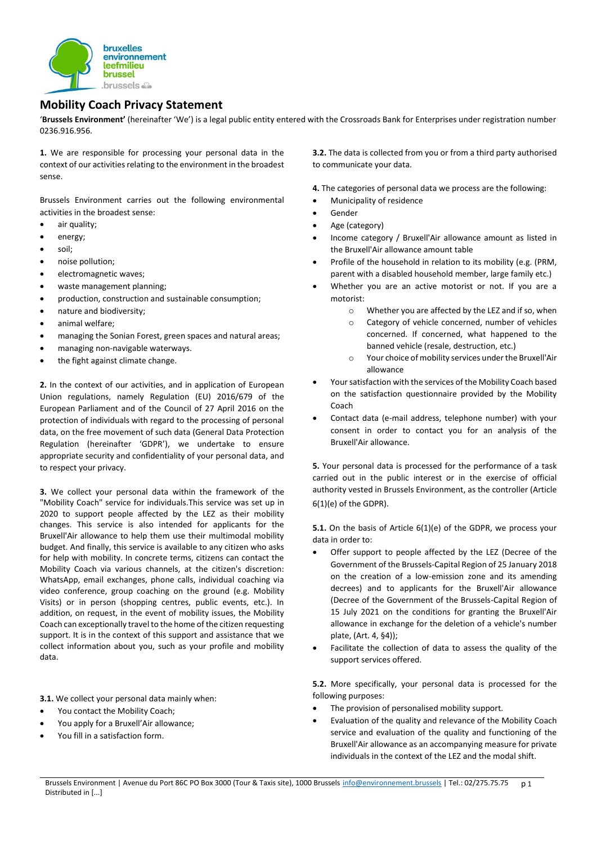

## **Mobility Coach Privacy Statement**

'**Brussels Environment'** (hereinafter 'We') is a legal public entity entered with the Crossroads Bank for Enterprises under registration number 0236.916.956.

**1.** We are responsible for processing your personal data in the context of our activities relating to the environment in the broadest sense.

Brussels Environment carries out the following environmental activities in the broadest sense:

- air quality;
- energy;
- soil;
- noise pollution;
- electromagnetic waves;
- waste management planning;
- production, construction and [sustainable consumption;](javascript:void();)
- nature and biodiversity;
- animal welfare;
- managing the Sonian Forest, green spaces and natural areas;
- managing non-navigable waterways.
- the fight against [climate change.](javascript:void();)

**2.** In the context of our activities, and in application of European Union regulations, namely Regulation (EU) 2016/679 of the European Parliament and of the Council of 27 April 2016 on the protection of individuals with regard to the processing of personal data, on the free movement of such data (General Data Protection Regulation (hereinafter 'GDPR'), we undertake to ensure appropriate security and confidentiality of your personal data, and to respect your privacy.

**3.** We collect your personal data within the framework of the "Mobility Coach" service for individuals.This service was set up in 2020 to support people affected by the LEZ as their mobility changes. This service is also intended for applicants for the Bruxell'Air allowance to help them use their multimodal mobility budget. And finally, this service is available to any citizen who asks for help with mobility. In concrete terms, citizens can contact the Mobility Coach via various channels, at the citizen's discretion: WhatsApp, email exchanges, phone calls, individual coaching via video conference, group coaching on the ground (e.g. Mobility Visits) or in person (shopping centres, public events, etc.). In addition, on request, in the event of mobility issues, the Mobility Coach can exceptionally travel to the home of the citizen requesting support. It is in the context of this support and assistance that we collect information about you, such as your profile and mobility data.

**3.1.** We collect your personal data mainly when:

- You contact the Mobility Coach;
- You apply for a Bruxell'Air allowance;
- You fill in a satisfaction form.

**3.2.** The data is collected from you or from a third party authorised to communicate your data.

**4.** The categories of personal data we process are the following:

- Municipality of residence
- Gender
- Age (category)
- Income category / Bruxell'Air allowance amount as listed in the Bruxell'Air allowance amount table
- Profile of the household in relation to its mobility (e.g. (PRM, parent with a disabled household member, large family etc.)
- Whether you are an active motorist or not. If you are a motorist:
	- o Whether you are affected by the LEZ and if so, when
	- o Category of vehicle concerned, number of vehicles concerned. If concerned, what happened to the banned vehicle (resale, destruction, etc.)
	- o Your choice of mobility services under the Bruxell'Air allowance
- Your satisfaction with the services of the Mobility Coach based on the satisfaction questionnaire provided by the Mobility Coach
- Contact data (e-mail address, telephone number) with your consent in order to contact you for an analysis of the Bruxell'Air allowance.

**5.** Your personal data is processed for the performance of a task carried out in the public interest or in the exercise of official authority vested in Brussels Environment, as the controller (Article 6(1)(e) of the GDPR).

**5.1.** On the basis of Article 6(1)(e) of the GDPR, we process your data in order to:

- Offer support to people affected by the LEZ (Decree of the Government of the Brussels-Capital Region of 25 January 2018 on the creation of a low-emission zone and its amending decrees) and to applicants for the Bruxell'Air allowance (Decree of the Government of the Brussels-Capital Region of 15 July 2021 on the conditions for granting the Bruxell'Air allowance in exchange for the deletion of a vehicle's number plate, (Art. 4, §4));
- Facilitate the collection of data to assess the quality of the support services offered.

**5.2.** More specifically, your personal data is processed for the following purposes:

- The provision of personalised mobility support.
- Evaluation of the quality and relevance of the Mobility Coach service and evaluation of the quality and functioning of the Bruxell'Air allowance as an accompanying measure for private individuals in the context of the LEZ and the modal shift.